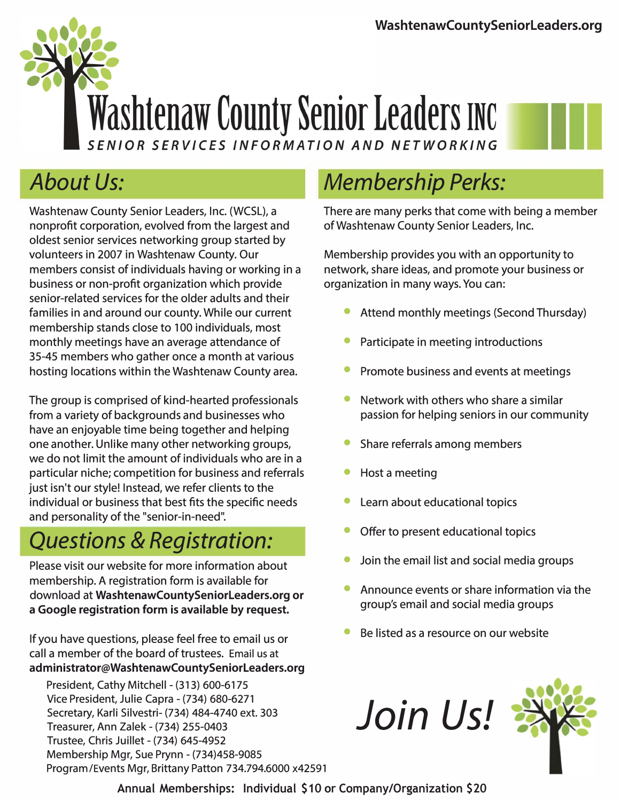

### *About Us:*

Washtenaw County Senior Leaders, Inc. (WCSL), a nonprofit corporation, evolved from the largest and oldest senior services networking group started by volunteers in 2007 in Washtenaw County. Our members consist of individuals having or working in a business or non-profit organization which provide senior-related services for the older adults and their families in and around our county. While our current membership stands close to 100 individuals, most monthly meetings have an average attendance of 35-45 members who gather once a month at various hosting locations within the Washtenaw County area.

The group is comprised of kind-hearted professionals from a variety of backgrounds and businesses who have an enjoyable time being together and helping one another. Unlike many other networking groups, we do not limit the amount of individuals who are in a particular niche; competition for business and referrals just isn't our style! Instead, we refer clients to the individual or business that best fits the specific needs and personality of the "senior-in-need".

### *Questions* **&** *Registration:*

Please visit our website for more information about membership. A registration form is available for download at **WashtenawCountySeniorleaders.org or a Google registration form is available by request.** 

If you have questions, please feel free to email us or call a member of the board of trustees. Email us at **administrator@WashtenawCountySeniorLeaders.org** 

President, Cathy Mitchell - (313) 600-6175 Vice President, Julie Capra - (734) 680-6271 Secretary, Karli Silvestri- (734) 484-4740 ext. 303 Treasurer, Ann Zalek - (734) 255-0403 Trustee, Chris Juillet - (734) 645-4952 Membership Mgr, Sue Prynn - (734)458-9085 Program/Events Mgr, Brittany Patton 734.794.6000 x42591

**Annual Memberships: Individual \$10 or Company/Organization \$20**

### *Membership Perks:*

There are many perks that come with being a member of Washtenaw County Senior Leaders, Inc.

Membership provides you with an opportunity to network, share ideas, and promote your business or organization in many ways. You can:

- Attend monthly meetings (Second Thursday)
- Participate in meeting introductions
- Promote business and events at meetings
- Network with others who share a similar passion for helping seniors in our community
- Share referrals among members
- Host a meeting
- Learn about educational topics
- Offer to present educational topics
- Join the email list and social media groups
- Announce events or share information via the group's email and social media groups
- Be listed as a resource on our website

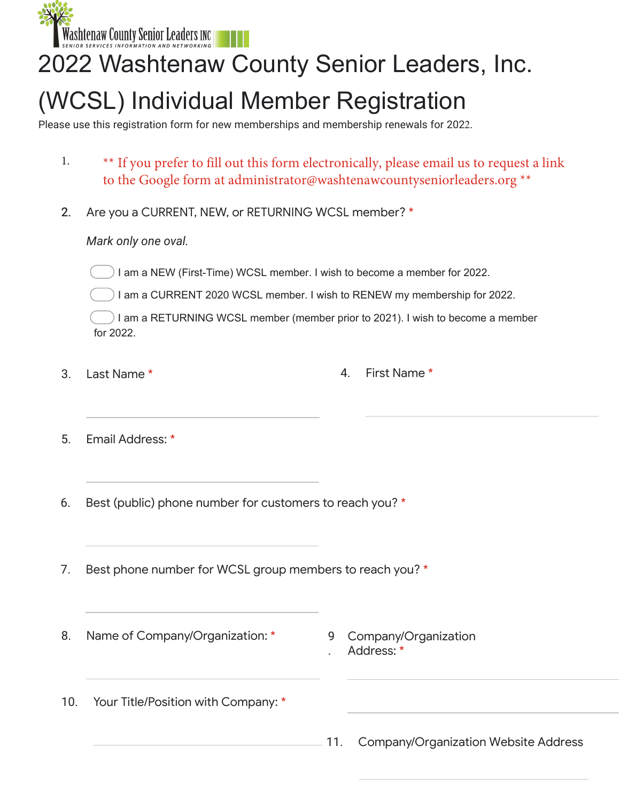**Washtenaw County Senior Leaders INC** 

# 2022 Washtenaw County Senior Leaders, Inc.

## (WCSL) Individual Member Registration

Please use this registration form for new memberships and membership renewals for 2022.

- $1.$ \*\* If you prefer to fill out this form electronically, please email us to request a link 1.<br>2. to the Google form at administrator@washtenawcountyseniorleaders.org \*\*
- 2. Are you a CURRENT, NEW, or RETURNING WCSL member? \*

### *Mark only one oval.*

I am a NEW (First-Time) WCSL member. I wish to become a member for 2022.

I am a CURRENT 2020 WCSL member. I wish to RENEW my membership for 2022.

I am a RETURNING WCSL member (member prior to 2021). I wish to become a member for 2022.

- 3.
- Last Name \* 1. The contract of the set of the set of the set of the set of the set of the set of the set of the set of the set of the set of the set of the set of the set of the set of the set of the set of the set of the
- 5. Email Address: \*
- 6. Best (public) phone number for customers to reach you? \*
- 7. Best phone number for WCSL group members to reach you? \*
- 8. Name of Company/Organization: \* 9 Company/Organization
- . Address: \*
- 10. Your Title/Position with Company: \*
- 11. Company/Organization Website Address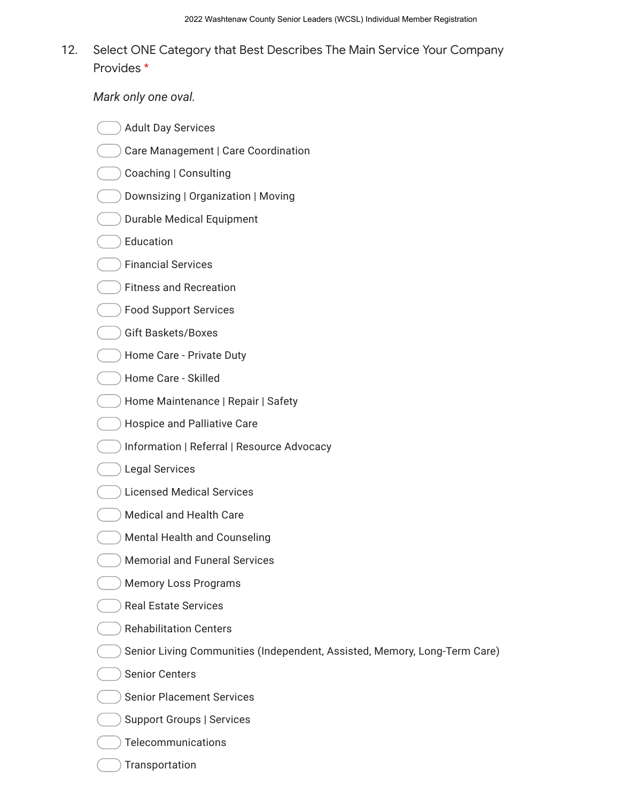#### 12. Select ONE Category that Best Describes The Main Service Your Company Provides \*

*Mark only one oval.*

- Adult Day Services
- Care Management | Care Coordination
- Coaching | Consulting
- Downsizing | Organization | Moving
- Durable Medical Equipment
- Education
- Financial Services
- Fitness and Recreation
- Food Support Services
- Gift Baskets/Boxes
- Home Care Private Duty
- Home Care Skilled
- Home Maintenance | Repair | Safety
- Hospice and Palliative Care
- Information | Referral | Resource Advocacy
- Legal Services
- Licensed Medical Services
- Medical and Health Care
- Mental Health and Counseling
- Memorial and Funeral Services
- Memory Loss Programs
- Real Estate Services
- Rehabilitation Centers
- Senior Living Communities (Independent, Assisted, Memory, Long-Term Care)
- Senior Centers
- Senior Placement Services
- Support Groups | Services
- Telecommunications
- **Transportation**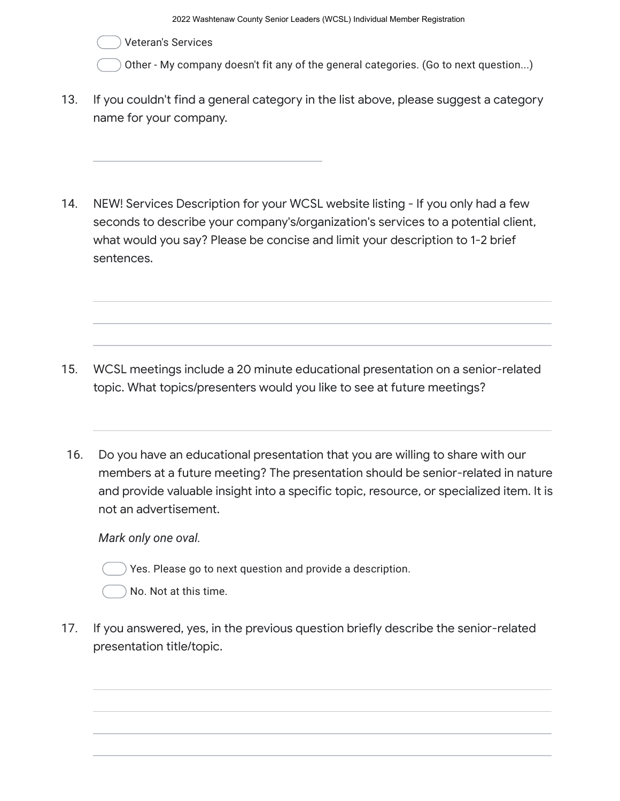Veteran's Services

Other - My company doesn't fit any of the general categories. (Go to next question...)

- 13. If you couldn't find a general category in the list above, please suggest a category name for your company.
- 14. NEW! Services Description for your WCSL website listing - If you only had a few seconds to describe your company's/organization's services to a potential client, what would you say? Please be concise and limit your description to 1-2 brief sentences.

- 15. WCSL meetings include a 20 minute educational presentation on a senior-related topic. What topics/presenters would you like to see at future meetings?
- 16. Do you have an educational presentation that you are willing to share with our members at a future meeting? The presentation should be senior-related in nature and provide valuable insight into a specific topic, resource, or specialized item. It is not an advertisement.

*Mark only one oval.*



No. Not at this time.

17. If you answered, yes, in the previous question briefly describe the senior-related presentation title/topic.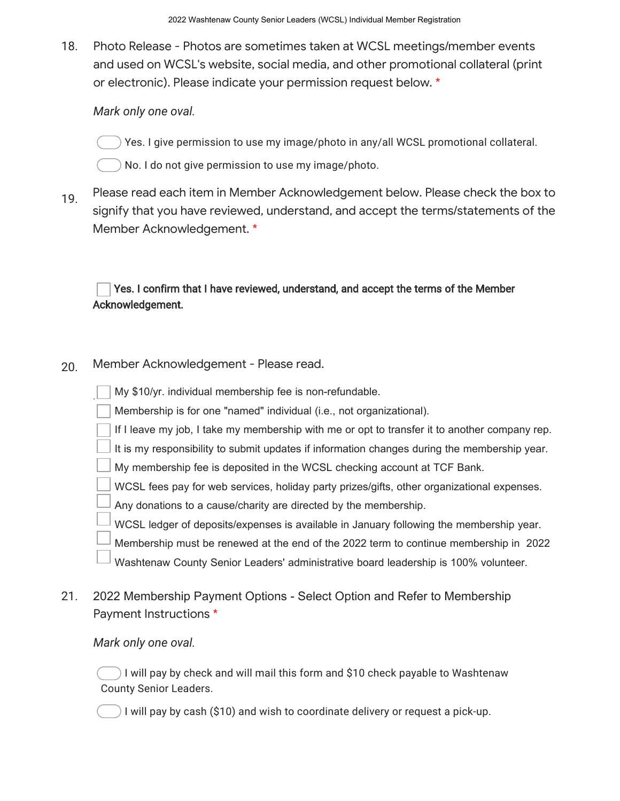18. Photo Release - Photos are sometimes taken at WCSL meetings/member events and used on WCSL's website, social media, and other promotional collateral (print or electronic). Please indicate your permission request below. \*

#### *Mark only one oval.*

- Yes. I give permission to use my image/photo in any/all WCSL promotional collateral.
- No. I do not give permission to use my image/photo.
- 19. Please read each item in Member Acknowledgement below. Please check the box to signify that you have reviewed, understand, and accept the terms/statements of the Member Acknowledgement. \*

#### Yes. I confirm that I have reviewed, understand, and accept the terms of the Member Acknowledgement.

20. Member Acknowledgement - Please read.

|     | My \$10/yr. individual membership fee is non-refundable.                                      |
|-----|-----------------------------------------------------------------------------------------------|
|     | Membership is for one "named" individual (i.e., not organizational).                          |
|     | If I leave my job, I take my membership with me or opt to transfer it to another company rep. |
|     | It is my responsibility to submit updates if information changes during the membership year.  |
|     | My membership fee is deposited in the WCSL checking account at TCF Bank.                      |
|     | WCSL fees pay for web services, holiday party prizes/gifts, other organizational expenses.    |
|     | Any donations to a cause/charity are directed by the membership.                              |
|     | WCSL ledger of deposits/expenses is available in January following the membership year.       |
|     | Membership must be renewed at the end of the 2022 term to continue membership in 2022         |
|     | Washtenaw County Senior Leaders' administrative board leadership is 100% volunteer.           |
| 21. | 2022 Membership Payment Options - Select Option and Refer to Membership                       |

### Payment Instructions \*

#### *Mark only one oval.*

I will pay by check and will mail this form and \$10 check payable to Washtenaw County Senior Leaders.

) I will pay by cash (\$10) and wish to coordinate delivery or request a pick-up.